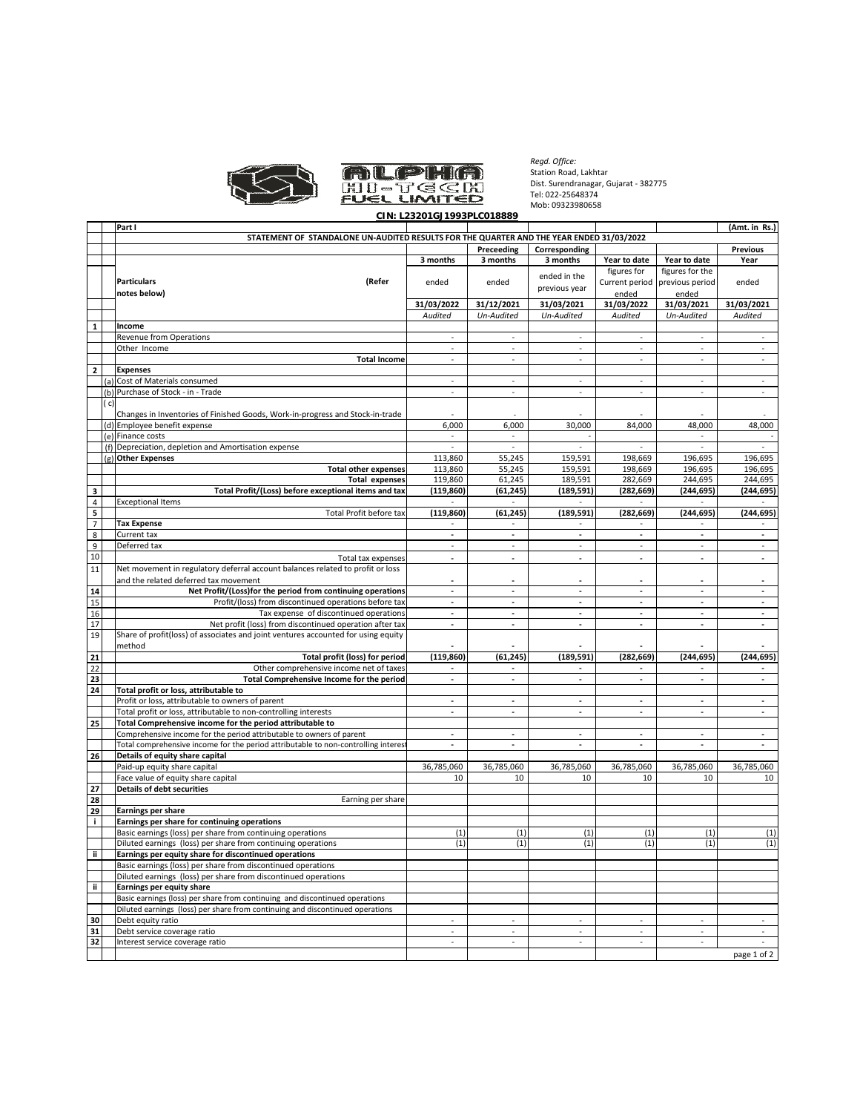



*Regd. Office:* Station Road, Lakhtar Dist. Surendranagar, Gujarat - 382775 Tel: 022-25648374 Mob: 09323980658

|                 |      |                                                                                          | UIN: LZJZUTUJ 1993PLUUT0009 |                          |                          |                          |                          |                          |
|-----------------|------|------------------------------------------------------------------------------------------|-----------------------------|--------------------------|--------------------------|--------------------------|--------------------------|--------------------------|
|                 |      | Part I                                                                                   |                             |                          |                          |                          | (Amt. in Rs.)            |                          |
|                 |      | STATEMENT OF STANDALONE UN-AUDITED RESULTS FOR THE QUARTER AND THE YEAR ENDED 31/03/2022 |                             |                          |                          |                          |                          |                          |
|                 |      |                                                                                          |                             | Preceeding               | Corresponding            |                          |                          | <b>Previous</b>          |
|                 |      |                                                                                          | 3 months                    | 3 months                 | 3 months                 | Year to date             | Year to date             | Year                     |
|                 |      |                                                                                          |                             |                          |                          | figures for              | figures for the          |                          |
|                 |      | <b>Particulars</b><br>(Refer                                                             | ended                       | ended                    | ended in the             | Current period           | previous period          | ended                    |
|                 |      | notes below)                                                                             |                             |                          | previous year            | ended                    | ended                    |                          |
|                 |      |                                                                                          |                             | 31/12/2021               | 31/03/2021               | 31/03/2022               | 31/03/2021               |                          |
|                 |      |                                                                                          | 31/03/2022                  |                          |                          |                          |                          | 31/03/2021               |
|                 |      |                                                                                          | Audited                     | Un-Audited               | Un-Audited               | Audited                  | Un-Audited               | Audited                  |
| $\mathbf{1}$    |      | Income                                                                                   |                             |                          |                          |                          |                          |                          |
|                 |      | Revenue from Operations                                                                  |                             |                          |                          | $\overline{\phantom{a}}$ |                          |                          |
|                 |      | Other Income                                                                             | $\sim$                      | $\sim$                   | $\sim$                   | $\sim$                   | ÷,                       | $\sim$                   |
|                 |      | <b>Total Income</b>                                                                      | $\sim$                      | $\sim$                   | $\sim$                   | $\sim$                   | $\sim$                   | $\sim$                   |
| $\overline{2}$  |      | <b>Expenses</b>                                                                          |                             |                          |                          |                          |                          |                          |
|                 | (a)  | Cost of Materials consumed                                                               | $\overline{\phantom{a}}$    | $\overline{\phantom{a}}$ | $\overline{\phantom{a}}$ | $\overline{\phantom{a}}$ |                          | $\overline{\phantom{a}}$ |
|                 |      | Purchase of Stock - in - Trade                                                           |                             |                          |                          | $\sim$                   |                          |                          |
|                 | (b)  |                                                                                          |                             |                          |                          |                          |                          |                          |
|                 | ( c) |                                                                                          |                             |                          |                          |                          |                          |                          |
|                 |      | Changes in Inventories of Finished Goods, Work-in-progress and Stock-in-trade            |                             |                          |                          |                          |                          |                          |
|                 |      | (d) Employee benefit expense                                                             | 6,000                       | 6,000                    | 30,000                   | 84,000                   | 48,000                   | 48,000                   |
|                 | (e)  | Finance costs                                                                            | $\overline{\phantom{a}}$    | $\overline{\phantom{a}}$ |                          |                          | $\overline{\phantom{a}}$ |                          |
|                 |      | (f) Depreciation, depletion and Amortisation expense                                     | $\bar{z}$                   | $\omega$                 |                          |                          | ÷,                       |                          |
|                 |      |                                                                                          |                             |                          |                          |                          | 196,695                  |                          |
|                 |      | (g) Other Expenses                                                                       | 113,860                     | 55,245                   | 159,591                  | 198,669                  |                          | 196,695                  |
|                 |      | <b>Total other expenses</b>                                                              | 113,860                     | 55,245                   | 159,591                  | 198,669                  | 196,695                  | 196,695                  |
|                 |      | <b>Total expenses</b>                                                                    | 119,860                     | 61,245                   | 189,591                  | 282,669                  | 244,695                  | 244,695                  |
| з               |      | Total Profit/(Loss) before exceptional items and tax                                     | (119, 860)                  | (61,245)                 | (189, 591)               | (282,669)                | (244, 695)               | (244,695)                |
| 4               |      | <b>Exceptional Items</b>                                                                 |                             |                          |                          |                          |                          |                          |
| 5               |      | Total Profit before tax                                                                  | (119, 860)                  | (61, 245)                | (189, 591)               | (282, 669)               | (244, 695)               | (244,695)                |
| $\overline{7}$  |      |                                                                                          |                             | $\overline{\phantom{a}}$ |                          |                          |                          |                          |
|                 |      | <b>Tax Expense</b>                                                                       |                             |                          |                          | $\overline{\phantom{a}}$ |                          |                          |
| 8               |      | Current tax                                                                              |                             | ÷                        |                          | ÷                        |                          |                          |
| 9               |      | Deferred tax                                                                             | $\overline{\phantom{a}}$    | $\omega$                 | ÷.                       | $\overline{\phantom{a}}$ | $\overline{\phantom{a}}$ | $\sim$                   |
| 10              |      | Total tax expenses                                                                       | $\sim$                      | $\sim$                   | $\sim$                   | $\sim$                   | ٠                        | $\sim$                   |
| 11              |      | Net movement in regulatory deferral account balances related to profit or loss           |                             |                          |                          |                          |                          |                          |
|                 |      | and the related deferred tax movement                                                    |                             |                          |                          |                          |                          |                          |
|                 |      |                                                                                          |                             |                          |                          |                          |                          |                          |
| 14              |      | Net Profit/(Loss)for the period from continuing operations                               | $\blacksquare$              | $\blacksquare$           | $\blacksquare$           | $\blacksquare$           | $\overline{\phantom{a}}$ | $\sim$                   |
| 15              |      | Profit/(loss) from discontinued operations before tax                                    |                             | $\sim$                   |                          | ٠                        |                          |                          |
| 16              |      | Tax expense of discontinued operations                                                   | $\overline{\phantom{a}}$    | $\blacksquare$           | $\overline{\phantom{a}}$ | $\overline{\phantom{a}}$ | $\overline{\phantom{a}}$ | $\blacksquare$           |
| 17              |      | Net profit (loss) from discontinued operation after tax                                  | ÷,                          | $\overline{\phantom{a}}$ | ÷,                       | $\overline{\phantom{a}}$ | $\overline{\phantom{a}}$ | $\overline{\phantom{a}}$ |
| 19              |      | Share of profit(loss) of associates and joint ventures accounted for using equity        |                             |                          |                          |                          |                          |                          |
|                 |      | method                                                                                   |                             |                          |                          |                          |                          |                          |
|                 |      |                                                                                          |                             |                          |                          |                          |                          |                          |
| 21              |      | Total profit (loss) for period                                                           | (119, 860)                  | (61, 245)                | (189, 591)               | (282, 669)               | (244, 695)               | (244, 695)               |
| $\overline{22}$ |      | Other comprehensive income net of taxes                                                  | $\blacksquare$              | $\overline{\phantom{a}}$ | $\blacksquare$           | $\overline{\phantom{a}}$ | $\overline{\phantom{a}}$ |                          |
| 23              |      | Total Comprehensive Income for the period                                                |                             | $\sim$                   |                          | $\mathbf{r}$             | $\blacksquare$           |                          |
| 24              |      | Total profit or loss, attributable to                                                    |                             |                          |                          |                          |                          |                          |
|                 |      | Profit or loss, attributable to owners of parent                                         | $\sim$                      | $\sim$                   | $\blacksquare$           | $\blacksquare$           | $\overline{\phantom{a}}$ | $\sim$                   |
|                 |      | Total profit or loss, attributable to non-controlling interests                          |                             | ÷                        |                          | $\mathbf{r}$             |                          |                          |
| 25              |      | Total Comprehensive income for the period attributable to                                |                             |                          |                          |                          |                          |                          |
|                 |      |                                                                                          |                             |                          |                          |                          |                          |                          |
|                 |      | Comprehensive income for the period attributable to owners of parent                     | $\blacksquare$              | $\sim$                   | $\sim$                   | $\blacksquare$           | $\overline{\phantom{a}}$ | $\sim$                   |
|                 |      | Total comprehensive income for the period attributable to non-controlling interest       | $\sim$                      | ÷                        | ÷.                       | $\overline{\phantom{a}}$ | ä,                       | ÷.                       |
| 26              |      | Details of equity share capital                                                          |                             |                          |                          |                          |                          |                          |
|                 |      | Paid-up equity share capital                                                             | 36,785,060                  | 36,785,060               | 36,785,060               | 36,785,060               | 36,785,060               | 36,785,060               |
|                 |      | Face value of equity share capital                                                       | 10                          | 10                       | 10                       | 10                       | 10                       | 10                       |
| 27              |      | <b>Details of debt securities</b>                                                        |                             |                          |                          |                          |                          |                          |
| 28              |      | Earning per share                                                                        |                             |                          |                          |                          |                          |                          |
|                 |      |                                                                                          |                             |                          |                          |                          |                          |                          |
| 29              |      | Earnings per share                                                                       |                             |                          |                          |                          |                          |                          |
| j.              |      | Earnings per share for continuing operations                                             |                             |                          |                          |                          |                          |                          |
|                 |      | Basic earnings (loss) per share from continuing operations                               | (1)                         | (1)                      | (1)                      | (1)                      | (1)                      | (1)                      |
|                 |      | Diluted earnings (loss) per share from continuing operations                             | (1)                         | (1)                      | (1)                      | (1)                      | (1)                      | (1)                      |
| ï               |      | Earnings per equity share for discontinued operations                                    |                             |                          |                          |                          |                          |                          |
|                 |      |                                                                                          |                             |                          |                          |                          |                          |                          |
|                 |      | Basic earnings (loss) per share from discontinued operations                             |                             |                          |                          |                          |                          |                          |
|                 |      | Diluted earnings (loss) per share from discontinued operations                           |                             |                          |                          |                          |                          |                          |
| ij.             |      | Earnings per equity share                                                                |                             |                          |                          |                          |                          |                          |
|                 |      | Basic earnings (loss) per share from continuing and discontinued operations              |                             |                          |                          |                          |                          |                          |
|                 |      | Diluted earnings (loss) per share from continuing and discontinued operations            |                             |                          |                          |                          |                          |                          |
| 30              |      | Debt equity ratio                                                                        | $\sim$                      | $\overline{\phantom{a}}$ | $\overline{\phantom{a}}$ | $\overline{\phantom{a}}$ | $\overline{\phantom{a}}$ | $\overline{\phantom{a}}$ |
| 31              |      | Debt service coverage ratio                                                              |                             |                          |                          |                          |                          |                          |
|                 |      |                                                                                          |                             |                          |                          |                          |                          |                          |
| 32              |      | Interest service coverage ratio                                                          | $\overline{\phantom{a}}$    | $\overline{\phantom{a}}$ | $\overline{\phantom{a}}$ | $\overline{\phantom{a}}$ | $\overline{\phantom{a}}$ | $\sim$                   |
|                 |      |                                                                                          |                             |                          |                          |                          |                          | page 1 of 2              |